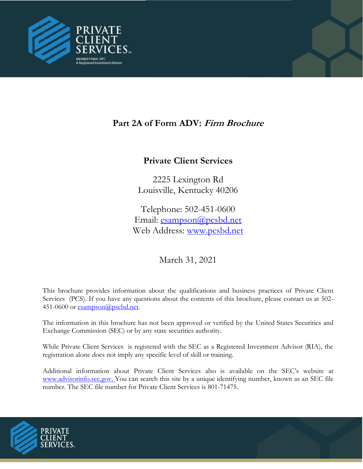

# **Part 2A of Form ADV: Firm Brochure**

# **Private Client Services**

2225 Lexington Rd Louisville, Kentucky 40206

Telephone: 502-451-0600 Email: [esampson@pcsbd.net](mailto:esampson@pcsbd.net) Web Ad[dress:](http://www.pcsbd.net/) [www.pcsbd.net](file:///C:/Users/cmccurdy/Documents/Compliance/Form%20ADV/www.pcsbd.net)

March 31, 2021

This brochure provides information about the qualifications and business practices of Private Client Services (PCS). If you have any questions about the contents of this brochure, please contact us at 502 451-0600 or [esampson@pscbd.net](mailto:esampson@pscbd.net).

The information in this brochure has not been approved or verified by the United States Securities and Exchange Commission (SEC) or by any state securities authority.

While Private Client Services is registered with the SEC as a Registered Investment Advisor (RIA), the registration alone does not imply any specific level of skill or training.

Additional information about Private Client Services also is available on the SEC's website at www.advisorinfo.sec.gov. You can search this site by a unique identifying number, known as an SEC file number. The SEC file number for Private Client Services is 801-71475.

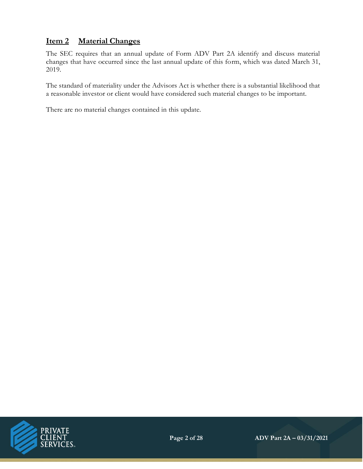# **Item 2 Material Changes**

The SEC requires that an annual update of Form ADV Part 2A identify and discuss material changes that have occurred since the last annual update of this form, which was dated March 31, 2019.

The standard of materiality under the Advisors Act is whether there is a substantial likelihood that a reasonable investor or client would have considered such material changes to be important.

There are no material changes contained in this update.

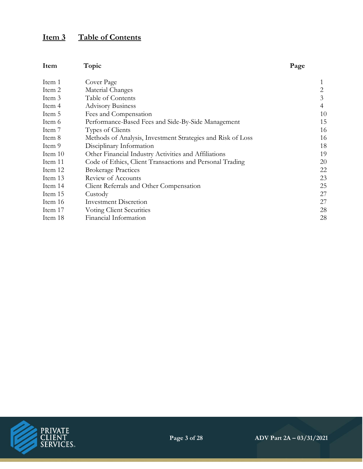# **Item 3 Table of Contents**

| Item      | Topic                                                       | Page |
|-----------|-------------------------------------------------------------|------|
| Item 1    | Cover Page                                                  | 1    |
| Item 2    | Material Changes                                            | 2    |
| Item 3    | Table of Contents                                           | 3    |
| Item 4    | <b>Advisory Business</b>                                    | 4    |
| Item 5    | Fees and Compensation                                       | 10   |
| Item 6    | Performance-Based Fees and Side-By-Side Management          | 15   |
| Item 7    | Types of Clients                                            | 16   |
| Item 8    | Methods of Analysis, Investment Strategies and Risk of Loss | 16   |
| Item 9    | Disciplinary Information                                    | 18   |
| Item $10$ | Other Financial Industry Activities and Affiliations        | 19   |
| Item 11   | Code of Ethics, Client Transactions and Personal Trading    | 20   |
| Item 12   | <b>Brokerage Practices</b>                                  | 22   |
| Item 13   | Review of Accounts                                          | 23   |
| Item 14   | Client Referrals and Other Compensation                     | 25   |
| Item 15   | Custody                                                     | 27   |
| Item 16   | <b>Investment Discretion</b>                                | 27   |
| Item 17   | <b>Voting Client Securities</b>                             | 28   |
| Item 18   | Financial Information                                       | 28   |

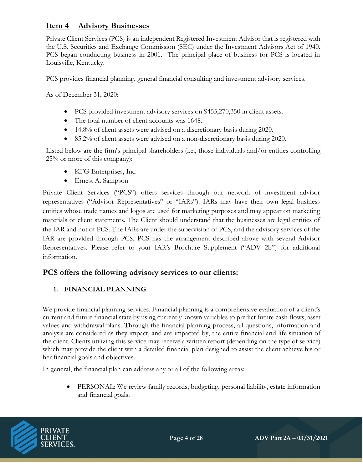## **Item 4 Advisory Businesses**

Private Client Services (PCS) is an independent Registered Investment Advisor that is registered with the U.S. Securities and Exchange Commission (SEC) under the Investment Advisors Act of 1940. PCS began conducting business in 2001. The principal place of business for PCS is located in Louisville, Kentucky.

PCS provides financial planning, general financial consulting and investment advisory services.

As of December 31, 2020:

- PCS provided investment advisory services on \$455,270,350 in client assets.
- The total number of client accounts was 1648.
- 14.8% of client assets were advised on a discretionary basis during 2020.
- 85.2% of client assets were advised on a non-discretionary basis during 2020.

Listed below are the firm's principal shareholders (i.e., those individuals and/or entities controlling 25% or more of this company):

- KFG Enterprises, Inc.
- Ernest A. Sampson

Private Client Services ("PCS") offers services through our network of investment advisor representatives ("Advisor Representatives" or "IARs"). IARs may have their own legal business entities whose trade names and logos are used for marketing purposes and may appear on marketing materials or client statements. The Client should understand that the businesses are legal entities of the IAR and not of PCS. The IARs are under the supervision of PCS, and the advisory services of the IAR are provided through PCS. PCS has the arrangement described above with several Advisor Representatives. Please refer to your IAR's Brochure Supplement ("ADV 2b") for additional information.

#### **PCS offers the following advisory services to our clients:**

#### **1. FINANCIAL PLANNING**

We provide financial planning services. Financial planning is a comprehensive evaluation of a client's current and future financial state by using currently known variables to predict future cash flows, asset values and withdrawal plans. Through the financial planning process, all questions, information and analysis are considered as they impact, and are impacted by, the entire financial and life situation of the client. Clients utilizing this service may receive a written report (depending on the type of service) which may provide the client with a detailed financial plan designed to assist the client achieve his or her financial goals and objectives.

In general, the financial plan can address any or all of the following areas:

• PERSONAL: We review family records, budgeting, personal liability, estate information and financial goals.

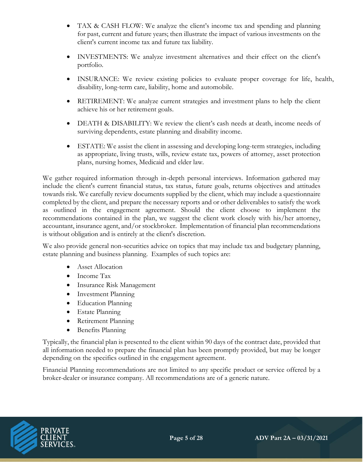- TAX & CASH FLOW: We analyze the client's income tax and spending and planning for past, current and future years; then illustrate the impact of various investments on the client's current income tax and future tax liability.
- INVESTMENTS: We analyze investment alternatives and their effect on the client's portfolio.
- INSURANCE: We review existing policies to evaluate proper coverage for life, health, disability, long-term care, liability, home and automobile.
- RETIREMENT: We analyze current strategies and investment plans to help the client achieve his or her retirement goals.
- DEATH & DISABILITY: We review the client's cash needs at death, income needs of surviving dependents, estate planning and disability income.
- ESTATE: We assist the client in assessing and developing long-term strategies, including as appropriate, living trusts, wills, review estate tax, powers of attorney, asset protection plans, nursing homes, Medicaid and elder law.

We gather required information through in-depth personal interviews. Information gathered may include the client's current financial status, tax status, future goals, returns objectives and attitudes towards risk. We carefully review documents supplied by the client, which may include a questionnaire completed by the client, and prepare the necessary reports and or other deliverables to satisfy the work as outlined in the engagement agreement. Should the client choose to implement the recommendations contained in the plan, we suggest the client work closely with his/her attorney, accountant, insurance agent, and/or stockbroker. Implementation of financial plan recommendations is without obligation and is entirely at the client's discretion.

We also provide general non-securities advice on topics that may include tax and budgetary planning, estate planning and business planning. Examples of such topics are:

- Asset Allocation
- Income Tax
- Insurance Risk Management
- Investment Planning
- Education Planning
- Estate Planning
- Retirement Planning
- Benefits Planning

Typically, the financial plan is presented to the client within 90 days of the contract date, provided that all information needed to prepare the financial plan has been promptly provided, but may be longer depending on the specifics outlined in the engagement agreement.

Financial Planning recommendations are not limited to any specific product or service offered by a broker-dealer or insurance company. All recommendations are of a generic nature.

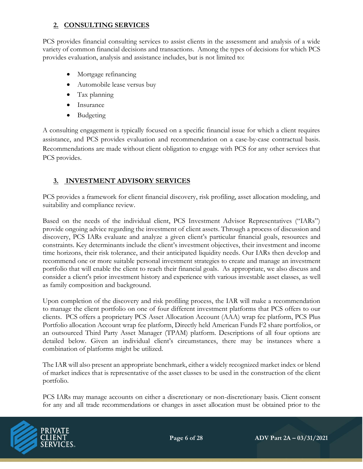### **2. CONSULTING SERVICES**

PCS provides financial consulting services to assist clients in the assessment and analysis of a wide variety of common financial decisions and transactions. Among the types of decisions for which PCS provides evaluation, analysis and assistance includes, but is not limited to:

- Mortgage refinancing
- Automobile lease versus buy
- Tax planning
- Insurance
- Budgeting

A consulting engagement is typically focused on a specific financial issue for which a client requires assistance, and PCS provides evaluation and recommendation on a case-by-case contractual basis. Recommendations are made without client obligation to engage with PCS for any other services that PCS provides.

### **3. INVESTMENT ADVISORY SERVICES**

PCS provides a framework for client financial discovery, risk profiling, asset allocation modeling, and suitability and compliance review.

Based on the needs of the individual client, PCS Investment Advisor Representatives ("IARs") provide ongoing advice regarding the investment of client assets. Through a process of discussion and discovery, PCS IARs evaluate and analyze a given client's particular financial goals, resources and constraints. Key determinants include the client's investment objectives, their investment and income time horizons, their risk tolerance, and their anticipated liquidity needs. Our IARs then develop and recommend one or more suitable personal investment strategies to create and manage an investment portfolio that will enable the client to reach their financial goals. As appropriate, we also discuss and consider a client's prior investment history and experience with various investable asset classes, as well as family composition and background.

Upon completion of the discovery and risk profiling process, the IAR will make a recommendation to manage the client portfolio on one of four different investment platforms that PCS offers to our clients. PCS offers a proprietary PCS Asset Allocation Account (AAA) wrap fee platform, PCS Plus Portfolio allocation Account wrap fee platform, Directly held American Funds F2 share portfolios, or an outsourced Third Party Asset Manager (TPAM) platform. Descriptions of all four options are detailed below. Given an individual client's circumstances, there may be instances where a combination of platforms might be utilized.

The IAR will also present an appropriate benchmark, either a widely recognized market index or blend of market indices that is representative of the asset classes to be used in the construction of the client portfolio.

PCS IARs may manage accounts on either a discretionary or non-discretionary basis. Client consent for any and all trade recommendations or changes in asset allocation must be obtained prior to the

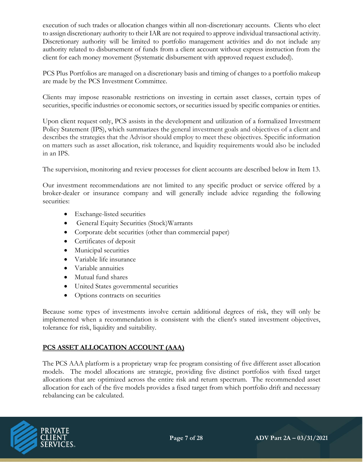execution of such trades or allocation changes within all non-discretionary accounts. Clients who elect to assign discretionary authority to their IAR are not required to approve individual transactional activity. Discretionary authority will be limited to portfolio management activities and do not include any authority related to disbursement of funds from a client account without express instruction from the client for each money movement (Systematic disbursement with approved request excluded).

PCS Plus Portfolios are managed on a discretionary basis and timing of changes to a portfolio makeup are made by the PCS Investment Committee.

Clients may impose reasonable restrictions on investing in certain asset classes, certain types of securities, specific industries or economic sectors, or securities issued by specific companies or entities.

Upon client request only, PCS assists in the development and utilization of a formalized Investment Policy Statement (IPS), which summarizes the general investment goals and objectives of a client and describes the strategies that the Advisor should employ to meet these objectives. Specific information on matters such as asset allocation, risk tolerance, and liquidity requirements would also be included in an IPS.

The supervision, monitoring and review processes for client accounts are described below in Item 13.

Our investment recommendations are not limited to any specific product or service offered by a broker-dealer or insurance company and will generally include advice regarding the following securities:

- Exchange-listed securities
- General Equity Securities (Stock)Warrants
- Corporate debt securities (other than commercial paper)
- Certificates of deposit
- Municipal securities
- Variable life insurance
- Variable annuities
- Mutual fund shares
- United States governmental securities
- Options contracts on securities

Because some types of investments involve certain additional degrees of risk, they will only be implemented when a recommendation is consistent with the client's stated investment objectives, tolerance for risk, liquidity and suitability.

#### **PCS ASSET ALLOCATION ACCOUNT (AAA)**

The PCS AAA platform is a proprietary wrap fee program consisting of five different asset allocation models. The model allocations are strategic, providing five distinct portfolios with fixed target allocations that are optimized across the entire risk and return spectrum. The recommended asset allocation for each of the five models provides a fixed target from which portfolio drift and necessary rebalancing can be calculated.

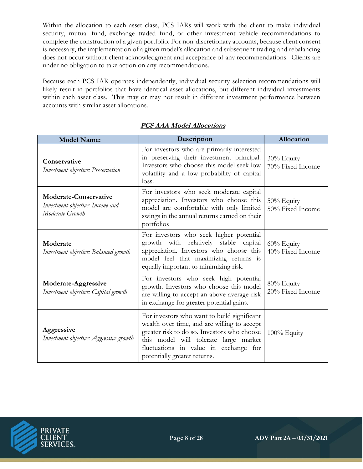Within the allocation to each asset class, PCS IARs will work with the client to make individual security, mutual fund, exchange traded fund, or other investment vehicle recommendations to complete the construction of a given portfolio. For non-discretionary accounts, because client consent is necessary, the implementation of a given model's allocation and subsequent trading and rebalancing does not occur without client acknowledgment and acceptance of any recommendations. Clients are under no obligation to take action on any recommendations.

Because each PCS IAR operates independently, individual security selection recommendations will likely result in portfolios that have identical asset allocations, but different individual investments within each asset class. This may or may not result in different investment performance between accounts with similar asset allocations.

| <b>Model Name:</b>                                                                  | Description                                                                                                                                                                                                                                                 | Allocation                        |
|-------------------------------------------------------------------------------------|-------------------------------------------------------------------------------------------------------------------------------------------------------------------------------------------------------------------------------------------------------------|-----------------------------------|
| Conservative<br>Investment objective: Preservation                                  | For investors who are primarily interested<br>in preserving their investment principal.<br>Investors who choose this model seek low<br>volatility and a low probability of capital<br>loss.                                                                 | 30% Equity<br>70% Fixed Income    |
| <b>Moderate-Conservative</b><br>Investment objective: Income and<br>Moderate Growth | For investors who seek moderate capital<br>appreciation. Investors who choose this<br>model are comfortable with only limited<br>swings in the annual returns earned on their<br>portfolios                                                                 | 50% Equity<br>50% Fixed Income    |
| Moderate<br>Investment objective: Balanced growth                                   | For investors who seek higher potential<br>growth with relatively stable capital<br>appreciation. Investors who choose this<br>model feel that maximizing returns is<br>equally important to minimizing risk.                                               | $60\%$ Equity<br>40% Fixed Income |
| Moderate-Aggressive<br>Investment objective: Capital growth                         | For investors who seek high potential<br>growth. Investors who choose this model<br>are willing to accept an above-average risk<br>in exchange for greater potential gains.                                                                                 | 80% Equity<br>20% Fixed Income    |
| Aggressive<br>Investment objective: Aggressive growth                               | For investors who want to build significant<br>wealth over time, and are willing to accept<br>greater risk to do so. Investors who choose<br>this model will tolerate large market<br>fluctuations in value in exchange for<br>potentially greater returns. | 100% Equity                       |

### **PCS AAA Model Allocations**

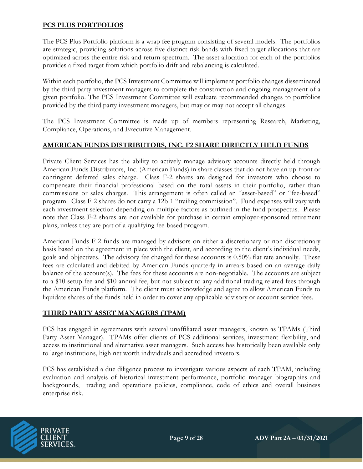#### **PCS PLUS PORTFOLIOS**

The PCS Plus Portfolio platform is a wrap fee program consisting of several models. The portfolios are strategic, providing solutions across five distinct risk bands with fixed target allocations that are optimized across the entire risk and return spectrum. The asset allocation for each of the portfolios provides a fixed target from which portfolio drift and rebalancing is calculated.

Within each portfolio, the PCS Investment Committee will implement portfolio changes disseminated by the third-party investment managers to complete the construction and ongoing management of a given portfolio. The PCS Investment Committee will evaluate recommended changes to portfolios provided by the third party investment managers, but may or may not accept all changes.

The PCS Investment Committee is made up of members representing Research, Marketing, Compliance, Operations, and Executive Management.

#### **AMERICAN FUNDS DISTRIBUTORS, INC. F2 SHARE DIRECTLY HELD FUNDS**

Private Client Services has the ability to actively manage advisory accounts directly held through American Funds Distributors, Inc. (American Funds) in share classes that do not have an up-front or contingent deferred sales charge. Class F-2 shares are designed for investors who choose to compensate their financial professional based on the total assets in their portfolio, rather than commissions or sales charges. This arrangement is often called an "asset-based" or "fee-based" program. Class F-2 shares do not carry a 12b-1 "trailing commission". Fund expenses will vary with each investment selection depending on multiple factors as outlined in the fund prospectus. Please note that Class F-2 shares are not available for purchase in certain employer-sponsored retirement plans, unless they are part of a qualifying fee-based program.

American Funds F-2 funds are managed by advisors on either a discretionary or non-discretionary basis based on the agreement in place with the client, and according to the client's individual needs, goals and objectives. The advisory fee charged for these accounts is 0.50% flat rate annually. These fees are calculated and debited by American Funds quarterly in arrears based on an average daily balance of the account(s). The fees for these accounts are non-negotiable. The accounts are subject to a \$10 setup fee and \$10 annual fee, but not subject to any additional trading related fees through the American Funds platform. The client must acknowledge and agree to allow American Funds to liquidate shares of the funds held in order to cover any applicable advisory or account service fees.

#### **THIRD PARTY ASSET MANAGERS (TPAM)**

PCS has engaged in agreements with several unaffiliated asset managers, known as TPAMs (Third Party Asset Manager). TPAMs offer clients of PCS additional services, investment flexibility, and access to institutional and alternative asset managers. Such access has historically been available only to large institutions, high net worth individuals and accredited investors.

PCS has established a due diligence process to investigate various aspects of each TPAM, including evaluation and analysis of historical investment performance, portfolio manager biographies and backgrounds, trading and operations policies, compliance, code of ethics and overall business enterprise risk.

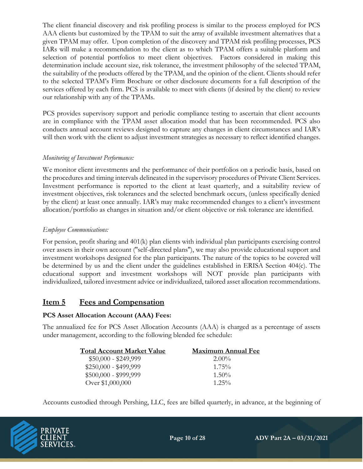The client financial discovery and risk profiling process is similar to the process employed for PCS AAA clients but customized by the TPAM to suit the array of available investment alternatives that a given TPAM may offer. Upon completion of the discovery and TPAM risk profiling processes, PCS IARs will make a recommendation to the client as to which TPAM offers a suitable platform and selection of potential portfolios to meet client objectives. Factors considered in making this determination include account size, risk tolerance, the investment philosophy of the selected TPAM, the suitability of the products offered by the TPAM, and the opinion of the client. Clients should refer to the selected TPAM's Firm Brochure or other disclosure documents for a full description of the services offered by each firm. PCS is available to meet with clients (if desired by the client) to review our relationship with any of the TPAMs.

PCS provides supervisory support and periodic compliance testing to ascertain that client accounts are in compliance with the TPAM asset allocation model that has been recommended. PCS also conducts annual account reviews designed to capture any changes in client circumstances and IAR's will then work with the client to adjust investment strategies as necessary to reflect identified changes.

#### *Monitoring of Investment Performance:*

We monitor client investments and the performance of their portfolios on a periodic basis, based on the procedures and timing intervals delineated in the supervisory procedures of Private Client Services. Investment performance is reported to the client at least quarterly, and a suitability review of investment objectives, risk tolerances and the selected benchmark occurs, (unless specifically denied by the client) at least once annually. IAR's may make recommended changes to a client's investment allocation/portfolio as changes in situation and/or client objective or risk tolerance are identified.

#### *Employee Communications:*

For pension, profit sharing and 401(k) plan clients with individual plan participants exercising control over assets in their own account (''self-directed plans''), we may also provide educational support and investment workshops designed for the plan participants. The nature of the topics to be covered will be determined by us and the client under the guidelines established in ERISA Section 404(c). The educational support and investment workshops will NOT provide plan participants with individualized, tailored investment advice or individualized, tailored asset allocation recommendations.

### **Item 5 Fees and Compensation**

#### **PCS Asset Allocation Account (AAA) Fees:**

The annualized fee for PCS Asset Allocation Accounts (AAA) is charged as a percentage of assets under management, according to the following blended fee schedule:

| <b>Total Account Market Value</b> | <b>Maximum Annual Fee</b> |
|-----------------------------------|---------------------------|
| $$50,000 - $249,999$              | $2.00\%$                  |
| $$250,000 - $499,999$             | $1.75\%$                  |
| $$500,000 - $999,999$             | $1.50\%$                  |
| Over \$1,000,000                  | $1.25\%$                  |

Accounts custodied through Pershing, LLC, fees are billed quarterly, in advance, at the beginning of

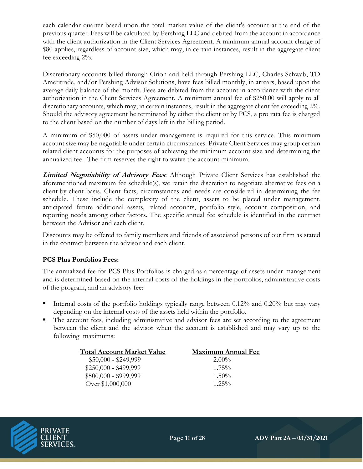each calendar quarter based upon the total market value of the client's account at the end of the previous quarter. Fees will be calculated by Pershing LLC and debited from the account in accordance with the client authorization in the Client Services Agreement. A minimum annual account charge of \$80 applies, regardless of account size, which may, in certain instances, result in the aggregate client fee exceeding 2%.

Discretionary accounts billed through Orion and held through Pershing LLC, Charles Schwab, TD Ameritrade, and/or Pershing Advisor Solutions, have fees billed monthly, in arrears, based upon the average daily balance of the month. Fees are debited from the account in accordance with the client authorization in the Client Services Agreement. A minimum annual fee of \$250.00 will apply to all discretionary accounts, which may, in certain instances, result in the aggregate client fee exceeding 2%. Should the advisory agreement be terminated by either the client or by PCS, a pro rata fee is charged to the client based on the number of days left in the billing period.

A minimum of \$50,000 of assets under management is required for this service. This minimum account size may be negotiable under certain circumstances. Private Client Services may group certain related client accounts for the purposes of achieving the minimum account size and determining the annualized fee. The firm reserves the right to waive the account minimum.

**Limited Negotiability of Advisory Fees**: Although Private Client Services has established the aforementioned maximum fee schedule(s), we retain the discretion to negotiate alternative fees on a client-by-client basis. Client facts, circumstances and needs are considered in determining the fee schedule. These include the complexity of the client, assets to be placed under management, anticipated future additional assets, related accounts, portfolio style, account composition, and reporting needs among other factors. The specific annual fee schedule is identified in the contract between the Advisor and each client.

Discounts may be offered to family members and friends of associated persons of our firm as stated in the contract between the advisor and each client.

#### **PCS Plus Portfolios Fees:**

The annualized fee for PCS Plus Portfolios is charged as a percentage of assets under management and is determined based on the internal costs of the holdings in the portfolios, administrative costs of the program, and an advisory fee:

- Internal costs of the portfolio holdings typically range between  $0.12\%$  and  $0.20\%$  but may vary depending on the internal costs of the assets held within the portfolio.
- The account fees, including administrative and advisor fees are set according to the agreement between the client and the advisor when the account is established and may vary up to the following maximums:

| <b>Total Account Market Value</b> | <b>Maximum Annual Fee</b> |
|-----------------------------------|---------------------------|
| $$50,000 - $249,999$              | $2.00\%$                  |
| $$250,000 - $499,999$             | $1.75\%$                  |
| $$500,000 - $999,999$             | $1.50\%$                  |
| Over \$1,000,000                  | $1.25\%$                  |

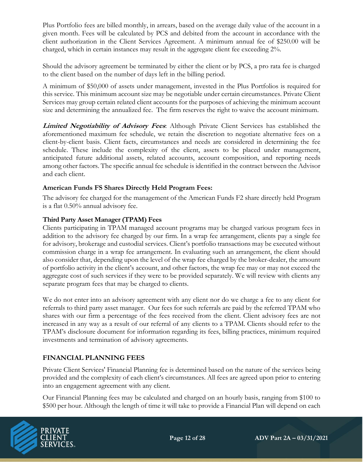Plus Portfolio fees are billed monthly, in arrears, based on the average daily value of the account in a given month. Fees will be calculated by PCS and debited from the account in accordance with the client authorization in the Client Services Agreement. A minimum annual fee of \$250.00 will be charged, which in certain instances may result in the aggregate client fee exceeding 2%.

Should the advisory agreement be terminated by either the client or by PCS, a pro rata fee is charged to the client based on the number of days left in the billing period.

A minimum of \$50,000 of assets under management, invested in the Plus Portfolios is required for this service. This minimum account size may be negotiable under certain circumstances. Private Client Services may group certain related client accounts for the purposes of achieving the minimum account size and determining the annualized fee. The firm reserves the right to waive the account minimum.

**Limited Negotiability of Advisory Fees**: Although Private Client Services has established the aforementioned maximum fee schedule, we retain the discretion to negotiate alternative fees on a client-by-client basis. Client facts, circumstances and needs are considered in determining the fee schedule. These include the complexity of the client, assets to be placed under management, anticipated future additional assets, related accounts, account composition, and reporting needs among other factors. The specific annual fee schedule is identified in the contract between the Advisor and each client.

#### **American Funds FS Shares Directly Held Program Fees:**

The advisory fee charged for the management of the American Funds F2 share directly held Program is a flat 0.50% annual advisory fee.

#### **Third Party Asset Manager (TPAM) Fees**

Clients participating in TPAM managed account programs may be charged various program fees in addition to the advisory fee charged by our firm. In a wrap fee arrangement, clients pay a single fee for advisory, brokerage and custodial services. Client's portfolio transactions may be executed without commission charge in a wrap fee arrangement. In evaluating such an arrangement, the client should also consider that, depending upon the level of the wrap fee charged by the broker-dealer, the amount of portfolio activity in the client's account, and other factors, the wrap fee may or may not exceed the aggregate cost of such services if they were to be provided separately. We will review with clients any separate program fees that may be charged to clients.

We do not enter into an advisory agreement with any client nor do we charge a fee to any client for referrals to third party asset manager. Our fees for such referrals are paid by the referred TPAM who shares with our firm a percentage of the fees received from the client. Client advisory fees are not increased in any way as a result of our referral of any clients to a TPAM. Clients should refer to the TPAM's disclosure document for information regarding its fees, billing practices, minimum required investments and termination of advisory agreements.

#### **FINANCIAL PLANNING FEES**

Private Client Services' Financial Planning fee is determined based on the nature of the services being provided and the complexity of each client's circumstances. All fees are agreed upon prior to entering into an engagement agreement with any client.

Our Financial Planning fees may be calculated and charged on an hourly basis, ranging from \$100 to \$500 per hour. Although the length of time it will take to provide a Financial Plan will depend on each

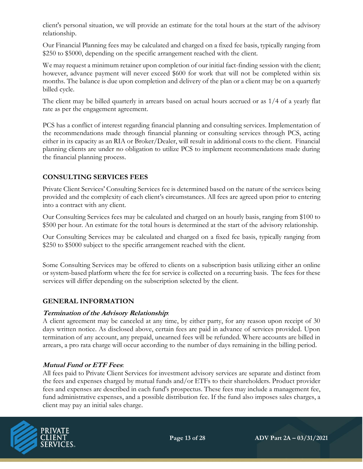client's personal situation, we will provide an estimate for the total hours at the start of the advisory relationship.

Our Financial Planning fees may be calculated and charged on a fixed fee basis, typically ranging from \$250 to \$5000, depending on the specific arrangement reached with the client.

We may request a minimum retainer upon completion of our initial fact-finding session with the client; however, advance payment will never exceed \$600 for work that will not be completed within six months. The balance is due upon completion and delivery of the plan or a client may be on a quarterly billed cycle.

The client may be billed quarterly in arrears based on actual hours accrued or as 1/4 of a yearly flat rate as per the engagement agreement.

PCS has a conflict of interest regarding financial planning and consulting services. Implementation of the recommendations made through financial planning or consulting services through PCS, acting either in its capacity as an RIA or Broker/Dealer, will result in additional costs to the client. Financial planning clients are under no obligation to utilize PCS to implement recommendations made during the financial planning process.

#### **CONSULTING SERVICES FEES**

Private Client Services' Consulting Services fee is determined based on the nature of the services being provided and the complexity of each client's circumstances. All fees are agreed upon prior to entering into a contract with any client.

Our Consulting Services fees may be calculated and charged on an hourly basis, ranging from \$100 to \$500 per hour. An estimate for the total hours is determined at the start of the advisory relationship.

Our Consulting Services may be calculated and charged on a fixed fee basis, typically ranging from \$250 to \$5000 subject to the specific arrangement reached with the client.

Some Consulting Services may be offered to clients on a subscription basis utilizing either an online or system-based platform where the fee for service is collected on a recurring basis. The fees for these services will differ depending on the subscription selected by the client.

#### **GENERAL INFORMATION**

#### **Termination of the Advisory Relationship**:

A client agreement may be canceled at any time, by either party, for any reason upon receipt of 30 days written notice. As disclosed above, certain fees are paid in advance of services provided. Upon termination of any account, any prepaid, unearned fees will be refunded. Where accounts are billed in arrears, a pro rata charge will occur according to the number of days remaining in the billing period.

#### **Mutual Fund or ETF Fees**:

All fees paid to Private Client Services for investment advisory services are separate and distinct from the fees and expenses charged by mutual funds and/or ETFs to their shareholders. Product provider fees and expenses are described in each fund's prospectus. These fees may include a management fee, fund administrative expenses, and a possible distribution fee. If the fund also imposes sales charges, a client may pay an initial sales charge.

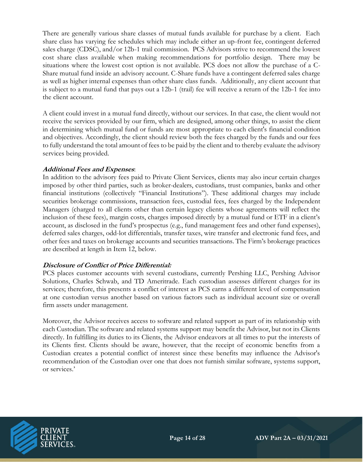There are generally various share classes of mutual funds available for purchase by a client. Each share class has varying fee schedules which may include either an up-front fee, contingent deferred sales charge (CDSC), and/or 12b-1 trail commission. PCS Advisors strive to recommend the lowest cost share class available when making recommendations for portfolio design. There may be situations where the lowest cost option is not available. PCS does not allow the purchase of a C-Share mutual fund inside an advisory account. C-Share funds have a contingent deferred sales charge as well as higher internal expenses than other share class funds. Additionally, any client account that is subject to a mutual fund that pays out a 12b-1 (trail) fee will receive a return of the 12b-1 fee into the client account.

A client could invest in a mutual fund directly, without our services. In that case, the client would not receive the services provided by our firm, which are designed, among other things, to assist the client in determining which mutual fund or funds are most appropriate to each client's financial condition and objectives. Accordingly, the client should review both the fees charged by the funds and our fees to fully understand the total amount of fees to be paid by the client and to thereby evaluate the advisory services being provided.

#### **Additional Fees and Expenses**:

In addition to the advisory fees paid to Private Client Services, clients may also incur certain charges imposed by other third parties, such as broker-dealers, custodians, trust companies, banks and other financial institutions (collectively "Financial Institutions"). These additional charges may include securities brokerage commissions, transaction fees, custodial fees, fees charged by the Independent Managers (charged to all clients other than certain legacy clients whose agreements will reflect the inclusion of these fees), margin costs, charges imposed directly by a mutual fund or ETF in a client's account, as disclosed in the fund's prospectus (e.g., fund management fees and other fund expenses), deferred sales charges, odd-lot differentials, transfer taxes, wire transfer and electronic fund fees, and other fees and taxes on brokerage accounts and securities transactions. The Firm's brokerage practices are described at length in Item 12, below.

#### **Disclosure of Conflict of Price Differential:**

PCS places customer accounts with several custodians, currently Pershing LLC, Pershing Advisor Solutions, Charles Schwab, and TD Ameritrade. Each custodian assesses different charges for its services; therefore, this presents a conflict of interest as PCS earns a different level of compensation at one custodian versus another based on various factors such as individual account size or overall firm assets under management.

Moreover, the Advisor receives access to software and related support as part of its relationship with each Custodian. The software and related systems support may benefit the Advisor, but not its Clients directly. In fulfilling its duties to its Clients, the Advisor endeavors at all times to put the interests of its Clients first. Clients should be aware, however, that the receipt of economic benefits from a Custodian creates a potential conflict of interest since these benefits may influence the Advisor's recommendation of the Custodian over one that does not furnish similar software, systems support, or services.'

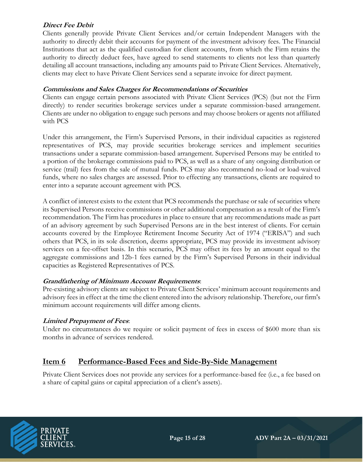#### **Direct Fee Debit**

Clients generally provide Private Client Services and/or certain Independent Managers with the authority to directly debit their accounts for payment of the investment advisory fees. The Financial Institutions that act as the qualified custodian for client accounts, from which the Firm retains the authority to directly deduct fees, have agreed to send statements to clients not less than quarterly detailing all account transactions, including any amounts paid to Private Client Services. Alternatively, clients may elect to have Private Client Services send a separate invoice for direct payment.

#### **Commissions and Sales Charges for Recommendations of Securities**

Clients can engage certain persons associated with Private Client Services (PCS) (but not the Firm directly) to render securities brokerage services under a separate commission-based arrangement. Clients are under no obligation to engage such persons and may choose brokers or agents not affiliated with PCS

Under this arrangement, the Firm's Supervised Persons, in their individual capacities as registered representatives of PCS, may provide securities brokerage services and implement securities transactions under a separate commission-based arrangement. Supervised Persons may be entitled to a portion of the brokerage commissions paid to PCS, as well as a share of any ongoing distribution or service (trail) fees from the sale of mutual funds. PCS may also recommend no-load or load-waived funds, where no sales charges are assessed. Prior to effecting any transactions, clients are required to enter into a separate account agreement with PCS.

A conflict of interest exists to the extent that PCS recommends the purchase or sale of securities where its Supervised Persons receive commissions or other additional compensation as a result of the Firm's recommendation. The Firm has procedures in place to ensure that any recommendations made as part of an advisory agreement by such Supervised Persons are in the best interest of clients. For certain accounts covered by the Employee Retirement Income Security Act of 1974 ("ERISA") and such others that PCS, in its sole discretion, deems appropriate, PCS may provide its investment advisory services on a fee-offset basis. In this scenario, PCS may offset its fees by an amount equal to the aggregate commissions and 12b-1 fees earned by the Firm's Supervised Persons in their individual capacities as Registered Representatives of PCS.

#### **Grandfathering of Minimum Account Requirements**:

Pre-existing advisory clients are subject to Private Client Services' minimum account requirements and advisory fees in effect at the time the client entered into the advisory relationship. Therefore, our firm's minimum account requirements will differ among clients.

#### **Limited Prepayment of Fees**:

Under no circumstances do we require or solicit payment of fees in excess of \$600 more than six months in advance of services rendered.

### **Item 6 Performance-Based Fees and Side-By-Side Management**

Private Client Services does not provide any services for a performance-based fee (i.e., a fee based on a share of capital gains or capital appreciation of a client's assets).

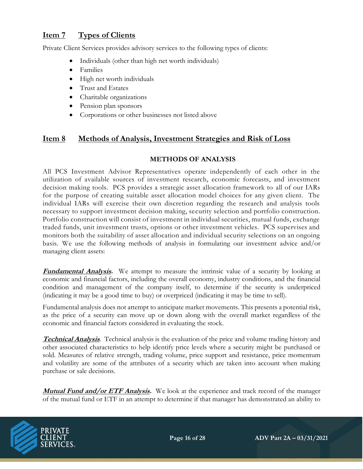# **Item 7 Types of Clients**

Private Client Services provides advisory services to the following types of clients:

- Individuals (other than high net worth individuals)
- Families
- High net worth individuals
- Trust and Estates
- Charitable organizations
- Pension plan sponsors
- Corporations or other businesses not listed above

#### **Item 8 Methods of Analysis, Investment Strategies and Risk of Loss**

#### **METHODS OF ANALYSIS**

All PCS Investment Advisor Representatives operate independently of each other in the utilization of available sources of investment research, economic forecasts, and investment decision making tools. PCS provides a strategic asset allocation framework to all of our IARs for the purpose of creating suitable asset allocation model choices for any given client. The individual IARs will exercise their own discretion regarding the research and analysis tools necessary to support investment decision making, security selection and portfolio construction. Portfolio construction will consist of investment in individual securities, mutual funds, exchange traded funds, unit investment trusts, options or other investment vehicles. PCS supervises and monitors both the suitability of asset allocation and individual security selections on an ongoing basis. We use the following methods of analysis in formulating our investment advice and/or managing client assets:

**Fundamental Analysis.** We attempt to measure the intrinsic value of a security by looking at economic and financial factors, including the overall economy, industry conditions, and the financial condition and management of the company itself, to determine if the security is underpriced (indicating it may be a good time to buy) or overpriced (indicating it may be time to sell).

Fundamental analysis does not attempt to anticipate market movements. This presents a potential risk, as the price of a security can move up or down along with the overall market regardless of the economic and financial factors considered in evaluating the stock.

**Technical Analysis**. Technical analysis is the evaluation of the price and volume trading history and other associated characteristics to help identify price levels where a security might be purchased or sold. Measures of relative strength, trading volume, price support and resistance, price momentum and volatility are some of the attributes of a security which are taken into account when making purchase or sale decisions.

**Mutual Fund and/or ETF Analysis.** We look at the experience and track record of the manager of the mutual fund or ETF in an attempt to determine if that manager has demonstrated an ability to

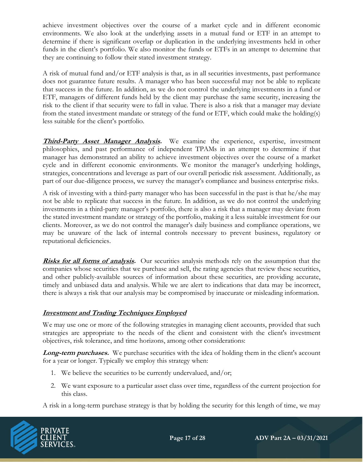achieve investment objectives over the course of a market cycle and in different economic environments. We also look at the underlying assets in a mutual fund or ETF in an attempt to determine if there is significant overlap or duplication in the underlying investments held in other funds in the client's portfolio. We also monitor the funds or ETFs in an attempt to determine that they are continuing to follow their stated investment strategy.

A risk of mutual fund and/or ETF analysis is that, as in all securities investments, past performance does not guarantee future results. A manager who has been successful may not be able to replicate that success in the future. In addition, as we do not control the underlying investments in a fund or ETF, managers of different funds held by the client may purchase the same security, increasing the risk to the client if that security were to fall in value. There is also a risk that a manager may deviate from the stated investment mandate or strategy of the fund or ETF, which could make the holding(s) less suitable for the client's portfolio.

**Third-Party Asset Manager Analysis.** We examine the experience, expertise, investment philosophies, and past performance of independent TPAMs in an attempt to determine if that manager has demonstrated an ability to achieve investment objectives over the course of a market cycle and in different economic environments. We monitor the manager's underlying holdings, strategies, concentrations and leverage as part of our overall periodic risk assessment. Additionally, as part of our due-diligence process, we survey the manager's compliance and business enterprise risks.

A risk of investing with a third-party manager who has been successful in the past is that he/she may not be able to replicate that success in the future. In addition, as we do not control the underlying investments in a third-party manager's portfolio, there is also a risk that a manager may deviate from the stated investment mandate or strategy of the portfolio, making it a less suitable investment for our clients. Moreover, as we do not control the manager's daily business and compliance operations, we may be unaware of the lack of internal controls necessary to prevent business, regulatory or reputational deficiencies.

**Risks for all forms of analysis.** Our securities analysis methods rely on the assumption that the companies whose securities that we purchase and sell, the rating agencies that review these securities, and other publicly-available sources of information about these securities, are providing accurate, timely and unbiased data and analysis. While we are alert to indications that data may be incorrect, there is always a risk that our analysis may be compromised by inaccurate or misleading information.

### **Investment and Trading Techniques Employed**

We may use one or more of the following strategies in managing client accounts, provided that such strategies are appropriate to the needs of the client and consistent with the client's investment objectives, risk tolerance, and time horizons, among other considerations:

**Long-term purchases.** We purchase securities with the idea of holding them in the client's account for a year or longer. Typically we employ this strategy when:

- 1. We believe the securities to be currently undervalued, and/or;
- 2. We want exposure to a particular asset class over time, regardless of the current projection for this class.

A risk in a long-term purchase strategy is that by holding the security for this length of time, we may

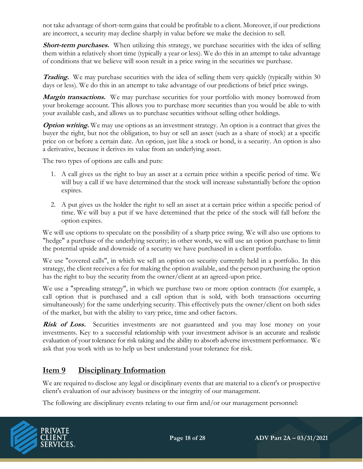not take advantage of short-term gains that could be profitable to a client. Moreover, if our predictions are incorrect, a security may decline sharply in value before we make the decision to sell.

Short-term purchases. When utilizing this strategy, we purchase securities with the idea of selling them within a relatively short time (typically a year or less). We do this in an attempt to take advantage of conditions that we believe will soon result in a price swing in the securities we purchase.

**Trading.** We may purchase securities with the idea of selling them very quickly (typically within 30) days or less). We do this in an attempt to take advantage of our predictions of brief price swings.

Margin transactions. We may purchase securities for your portfolio with money borrowed from your brokerage account. This allows you to purchase more securities than you would be able to with your available cash, and allows us to purchase securities without selling other holdings.

**Option writing.** We may use options as an investment strategy. An option is a contract that gives the buyer the right, but not the obligation, to buy or sell an asset (such as a share of stock) at a specific price on or before a certain date. An option, just like a stock or bond, is a security. An option is also a derivative, because it derives its value from an underlying asset.

The two types of options are calls and puts:

- 1. A call gives us the right to buy an asset at a certain price within a specific period of time. We will buy a call if we have determined that the stock will increase substantially before the option expires.
- 2. A put gives us the holder the right to sell an asset at a certain price within a specific period of time. We will buy a put if we have determined that the price of the stock will fall before the option expires.

We will use options to speculate on the possibility of a sharp price swing. We will also use options to "hedge" a purchase of the underlying security; in other words, we will use an option purchase to limit the potential upside and downside of a security we have purchased in a client portfolio.

We use "covered calls", in which we sell an option on security currently held in a portfolio. In this strategy, the client receives a fee for making the option available, and the person purchasing the option has the right to buy the security from the owner/client at an agreed-upon price.

We use a "spreading strategy", in which we purchase two or more option contracts (for example, a call option that is purchased and a call option that is sold, with both transactions occurring simultaneously) for the same underlying security. This effectively puts the owner/client on both sides of the market, but with the ability to vary price, time and other factors.

**Risk of Loss.** Securities investments are not guaranteed and you may lose money on your investments. Key to a successful relationship with your investment advisor is an accurate and realistic evaluation of your tolerance for risk taking and the ability to absorb adverse investment performance. We ask that you work with us to help us best understand your tolerance for risk.

# **Item 9 Disciplinary Information**

We are required to disclose any legal or disciplinary events that are material to a client's or prospective client's evaluation of our advisory business or the integrity of our management.

The following are disciplinary events relating to our firm and/or our management personnel:

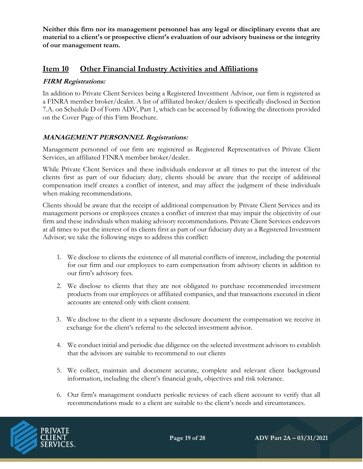**Neither this firm nor its management personnel has any legal or disciplinary events that are material to a client's or prospective client's evaluation of our advisory business or the integrity of our management team.**

### **Item 10 Other Financial Industry Activities and Affiliations**

#### **FIRM Registrations:**

In addition to Private Client Services being a Registered Investment Advisor, our firm is registered as a FINRA member broker/dealer. A list of affiliated broker/dealers is specifically disclosed in Section 7.A. on Schedule D of Form ADV, Part 1, which can be accessed by following the directions provided on the Cover Page of this Firm Brochure.

### **MANAGEMENT PERSONNEL Registrations:**

Management personnel of our firm are registered as Registered Representatives of Private Client Services, an affiliated FINRA member broker/dealer.

While Private Client Services and these individuals endeavor at all times to put the interest of the clients first as part of our fiduciary duty, clients should be aware that the receipt of additional compensation itself creates a conflict of interest, and may affect the judgment of these individuals when making recommendations.

Clients should be aware that the receipt of additional compensation by Private Client Services and its management persons or employees creates a conflict of interest that may impair the objectivity of our firm and these individuals when making advisory recommendations. Private Client Services endeavors at all times to put the interest of its clients first as part of our fiduciary duty as a Registered Investment Advisor; we take the following steps to address this conflict:

- 1. We disclose to clients the existence of all material conflicts of interest, including the potential for our firm and our employees to earn compensation from advisory clients in addition to our firm's advisory fees.
- 2. We disclose to clients that they are not obligated to purchase recommended investment products from our employees or affiliated companies, and that transactions executed in client accounts are entered only with client consent.
- 3. We disclose to the client in a separate disclosure document the compensation we receive in exchange for the client's referral to the selected investment advisor.
- 4. We conduct initial and periodic due diligence on the selected investment advisors to establish that the advisors are suitable to recommend to our clients
- 5. We collect, maintain and document accurate, complete and relevant client background information, including the client's financial goals, objectives and risk tolerance.
- 6. Our firm's management conducts periodic reviews of each client account to verify that all recommendations made to a client are suitable to the client's needs and circumstances.

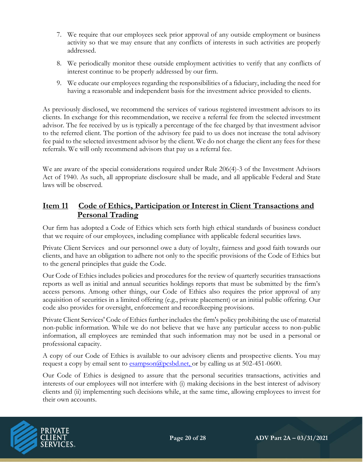- 7. We require that our employees seek prior approval of any outside employment or business activity so that we may ensure that any conflicts of interests in such activities are properly addressed.
- 8. We periodically monitor these outside employment activities to verify that any conflicts of interest continue to be properly addressed by our firm.
- 9. We educate our employees regarding the responsibilities of a fiduciary, including the need for having a reasonable and independent basis for the investment advice provided to clients.

As previously disclosed, we recommend the services of various registered investment advisors to its clients. In exchange for this recommendation, we receive a referral fee from the selected investment advisor. The fee received by us is typically a percentage of the fee charged by that investment advisor to the referred client. The portion of the advisory fee paid to us does not increase the total advisory fee paid to the selected investment advisor by the client. We do not charge the client any fees for these referrals. We will only recommend advisors that pay us a referral fee.

We are aware of the special considerations required under Rule 206(4)-3 of the Investment Advisors Act of 1940. As such, all appropriate disclosure shall be made, and all applicable Federal and State laws will be observed.

### **Item 11 Code of Ethics, Participation or Interest in Client Transactions and Personal Trading**

Our firm has adopted a Code of Ethics which sets forth high ethical standards of business conduct that we require of our employees, including compliance with applicable federal securities laws.

Private Client Services and our personnel owe a duty of loyalty, fairness and good faith towards our clients, and have an obligation to adhere not only to the specific provisions of the Code of Ethics but to the general principles that guide the Code.

Our Code of Ethics includes policies and procedures for the review of quarterly securities transactions reports as well as initial and annual securities holdings reports that must be submitted by the firm's access persons. Among other things, our Code of Ethics also requires the prior approval of any acquisition of securities in a limited offering (e.g., private placement) or an initial public offering. Our code also provides for oversight, enforcement and recordkeeping provisions.

Private Client Services' Code of Ethics further includes the firm's policy prohibiting the use of material non-public information. While we do not believe that we have any particular access to non-public information, all employees are reminded that such information may not be used in a personal or professional capacity.

A copy of our Code of Ethics is available to our advisory clients and prospective clients. You may request a copy by email sent to [esampson@pcsbd.net,](mailto:esampson@pcsbd.net,) or by calling us at 502-451-0600.

Our Code of Ethics is designed to assure that the personal securities transactions, activities and interests of our employees will not interfere with (i) making decisions in the best interest of advisory clients and (ii) implementing such decisions while, at the same time, allowing employees to invest for their own accounts.

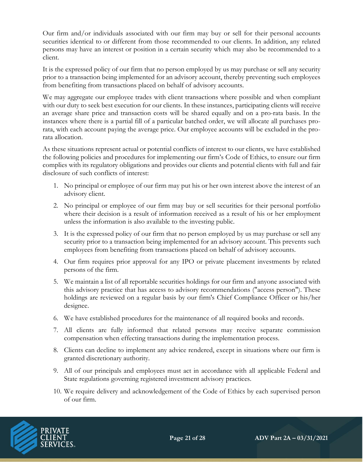Our firm and/or individuals associated with our firm may buy or sell for their personal accounts securities identical to or different from those recommended to our clients. In addition, any related persons may have an interest or position in a certain security which may also be recommended to a client.

It is the expressed policy of our firm that no person employed by us may purchase or sell any security prior to a transaction being implemented for an advisory account, thereby preventing such employees from benefiting from transactions placed on behalf of advisory accounts.

We may aggregate our employee trades with client transactions where possible and when compliant with our duty to seek best execution for our clients. In these instances, participating clients will receive an average share price and transaction costs will be shared equally and on a pro-rata basis. In the instances where there is a partial fill of a particular batched order, we will allocate all purchases prorata, with each account paying the average price. Our employee accounts will be excluded in the prorata allocation.

As these situations represent actual or potential conflicts of interest to our clients, we have established the following policies and procedures for implementing our firm's Code of Ethics, to ensure our firm complies with its regulatory obligations and provides our clients and potential clients with full and fair disclosure of such conflicts of interest:

- 1. No principal or employee of our firm may put his or her own interest above the interest of an advisory client.
- 2. No principal or employee of our firm may buy or sell securities for their personal portfolio where their decision is a result of information received as a result of his or her employment unless the information is also available to the investing public.
- 3. It is the expressed policy of our firm that no person employed by us may purchase or sell any security prior to a transaction being implemented for an advisory account. This prevents such employees from benefiting from transactions placed on behalf of advisory accounts.
- 4. Our firm requires prior approval for any IPO or private placement investments by related persons of the firm.
- 5. We maintain a list of all reportable securities holdings for our firm and anyone associated with this advisory practice that has access to advisory recommendations ("access person"). These holdings are reviewed on a regular basis by our firm's Chief Compliance Officer or his/her designee.
- 6. We have established procedures for the maintenance of all required books and records.
- 7. All clients are fully informed that related persons may receive separate commission compensation when effecting transactions during the implementation process.
- 8. Clients can decline to implement any advice rendered, except in situations where our firm is granted discretionary authority.
- 9. All of our principals and employees must act in accordance with all applicable Federal and State regulations governing registered investment advisory practices.
- 10. We require delivery and acknowledgement of the Code of Ethics by each supervised person of our firm.

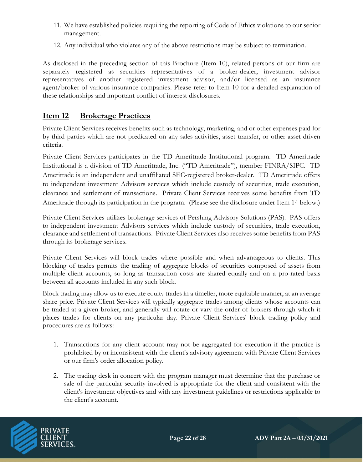- 11. We have established policies requiring the reporting of Code of Ethics violations to our senior management.
- 12. Any individual who violates any of the above restrictions may be subject to termination.

As disclosed in the preceding section of this Brochure (Item 10), related persons of our firm are separately registered as securities representatives of a broker-dealer, investment advisor representatives of another registered investment advisor, and/or licensed as an insurance agent/broker of various insurance companies. Please refer to Item 10 for a detailed explanation of these relationships and important conflict of interest disclosures.

# **Item 12 Brokerage Practices**

Private Client Services receives benefits such as technology, marketing, and or other expenses paid for by third parties which are not predicated on any sales activities, asset transfer, or other asset driven criteria.

Private Client Services participates in the TD Ameritrade Institutional program. TD Ameritrade Institutional is a division of TD Ameritrade, Inc. ("TD Ameritrade"), member FINRA/SIPC. TD Ameritrade is an independent and unaffiliated SEC-registered broker-dealer. TD Ameritrade offers to independent investment Advisors services which include custody of securities, trade execution, clearance and settlement of transactions. Private Client Services receives some benefits from TD Ameritrade through its participation in the program. (Please see the disclosure under Item 14 below.)

Private Client Services utilizes brokerage services of Pershing Advisory Solutions (PAS). PAS offers to independent investment Advisors services which include custody of securities, trade execution, clearance and settlement of transactions. Private Client Services also receives some benefits from PAS through its brokerage services.

Private Client Services will block trades where possible and when advantageous to clients. This blocking of trades permits the trading of aggregate blocks of securities composed of assets from multiple client accounts, so long as transaction costs are shared equally and on a pro-rated basis between all accounts included in any such block.

Block trading may allow us to execute equity trades in a timelier, more equitable manner, at an average share price. Private Client Services will typically aggregate trades among clients whose accounts can be traded at a given broker, and generally will rotate or vary the order of brokers through which it places trades for clients on any particular day. Private Client Services' block trading policy and procedures are as follows:

- 1. Transactions for any client account may not be aggregated for execution if the practice is prohibited by or inconsistent with the client's advisory agreement with Private Client Services or our firm's order allocation policy.
- 2. The trading desk in concert with the program manager must determine that the purchase or sale of the particular security involved is appropriate for the client and consistent with the client's investment objectives and with any investment guidelines or restrictions applicable to the client's account.

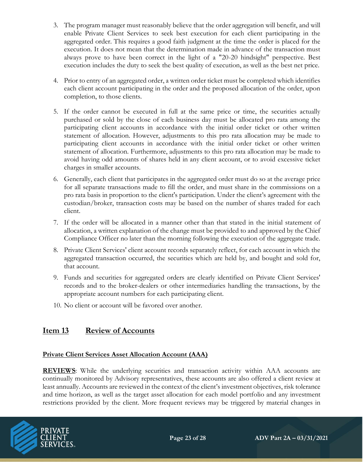- 3. The program manager must reasonably believe that the order aggregation will benefit, and will enable Private Client Services to seek best execution for each client participating in the aggregated order. This requires a good faith judgment at the time the order is placed for the execution. It does not mean that the determination made in advance of the transaction must always prove to have been correct in the light of a "20-20 hindsight" perspective. Best execution includes the duty to seek the best quality of execution, as well as the best net price.
- 4. Prior to entry of an aggregated order, a written order ticket must be completed which identifies each client account participating in the order and the proposed allocation of the order, upon completion, to those clients.
- 5. If the order cannot be executed in full at the same price or time, the securities actually purchased or sold by the close of each business day must be allocated pro rata among the participating client accounts in accordance with the initial order ticket or other written statement of allocation. However, adjustments to this pro rata allocation may be made to participating client accounts in accordance with the initial order ticket or other written statement of allocation. Furthermore, adjustments to this pro rata allocation may be made to avoid having odd amounts of shares held in any client account, or to avoid excessive ticket charges in smaller accounts.
- 6. Generally, each client that participates in the aggregated order must do so at the average price for all separate transactions made to fill the order, and must share in the commissions on a pro rata basis in proportion to the client's participation. Under the client's agreement with the custodian/broker, transaction costs may be based on the number of shares traded for each client.
- 7. If the order will be allocated in a manner other than that stated in the initial statement of allocation, a written explanation of the change must be provided to and approved by the Chief Compliance Officer no later than the morning following the execution of the aggregate trade.
- 8. Private Client Services' client account records separately reflect, for each account in which the aggregated transaction occurred, the securities which are held by, and bought and sold for, that account.
- 9. Funds and securities for aggregated orders are clearly identified on Private Client Services' records and to the broker-dealers or other intermediaries handling the transactions, by the appropriate account numbers for each participating client.
- 10. No client or account will be favored over another.

# **Item 13 Review of Accounts**

### **Private Client Services Asset Allocation Account (AAA)**

**REVIEWS**: While the underlying securities and transaction activity within AAA accounts are continually monitored by Advisory representatives, these accounts are also offered a client review at least annually. Accounts are reviewed in the context of the client's investment objectives, risk tolerance and time horizon, as well as the target asset allocation for each model portfolio and any investment restrictions provided by the client. More frequent reviews may be triggered by material changes in

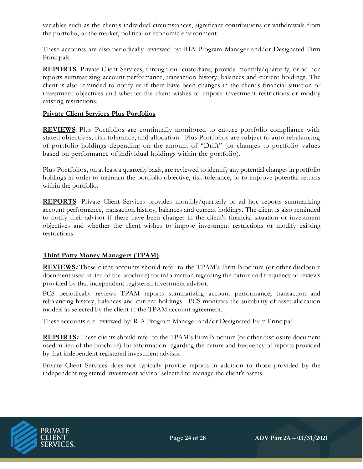variables such as the client's individual circumstances, significant contributions or withdrawals from the portfolio, or the market, political or economic environment.

These accounts are also periodically reviewed by: RIA Program Manager and/or Designated Firm Principals

**REPORTS**: Private Client Services, through our custodians, provide monthly/quarterly, or ad hoc reports summarizing account performance, transaction history, balances and current holdings. The client is also reminded to notify us if there have been changes in the client's financial situation or investment objectives and whether the client wishes to impose investment restrictions or modify existing restrictions.

#### **Private Client Services Plus Portfolios**

**REVIEWS**: Plus Portfolios are continually monitored to ensure portfolio compliance with stated objectives, risk tolerance, and allocation. Plus Portfolios are subject to auto rebalancing of portfolio holdings depending on the amount of "Drift" (or changes to portfolio values based on performance of individual holdings within the portfolio).

Plus Portfolios, on at least a quarterly basis, are reviewed to identify any potential changes in portfolio holdings in order to maintain the portfolio objective, risk tolerance, or to improve potential returns within the portfolio.

**REPORTS**: Private Client Services provides monthly/quarterly or ad hoc reports summarizing account performance, transaction history, balances and current holdings. The client is also reminded to notify their advisor if there have been changes in the client's financial situation or investment objectives and whether the client wishes to impose investment restrictions or modify existing restrictions.

#### **Third Party Money Managers (TPAM)**

**REVIEWS:** These client accounts should refer to the TPAM's Firm Brochure (or other disclosure document used in lieu of the brochure) for information regarding the nature and frequency of reviews provided by that independent registered investment advisor.

PCS periodically reviews TPAM reports summarizing account performance, transaction and rebalancing history, balances and current holdings. PCS monitors the suitability of asset allocation models as selected by the client in the TPAM account agreement.

These accounts are reviewed by: RIA Program Manager and/or Designated Firm Principal.

**REPORTS:** These clients should refer to the TPAM's Firm Brochure (or other disclosure document used in lieu of the brochure) for information regarding the nature and frequency of reports provided by that independent registered investment advisor.

Private Client Services does not typically provide reports in addition to those provided by the independent registered investment advisor selected to manage the client's assets.

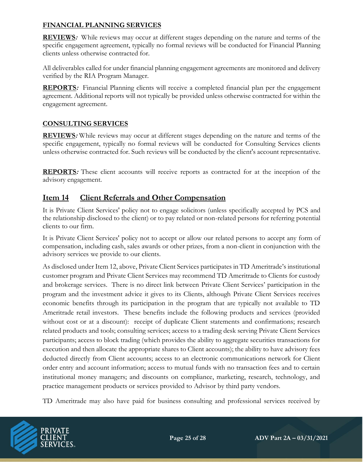#### **FINANCIAL PLANNING SERVICES**

**REVIEWS:** While reviews may occur at different stages depending on the nature and terms of the specific engagement agreement, typically no formal reviews will be conducted for Financial Planning clients unless otherwise contracted for.

All deliverables called for under financial planning engagement agreements are monitored and delivery verified by the RIA Program Manager.

**REPORTS**: Financial Planning clients will receive a completed financial plan per the engagement agreement. Additional reports will not typically be provided unless otherwise contracted for within the engagement agreement.

### **CONSULTING SERVICES**

**REVIEWS:** While reviews may occur at different stages depending on the nature and terms of the specific engagement, typically no formal reviews will be conducted for Consulting Services clients unless otherwise contracted for. Such reviews will be conducted by the client's account representative.

**REPORTS:** These client accounts will receive reports as contracted for at the inception of the advisory engagement.

### **Item 14 Client Referrals and Other Compensation**

It is Private Client Services' policy not to engage solicitors (unless specifically accepted by PCS and the relationship disclosed to the client) or to pay related or non-related persons for referring potential clients to our firm.

It is Private Client Services' policy not to accept or allow our related persons to accept any form of compensation, including cash, sales awards or other prizes, from a non-client in conjunction with the advisory services we provide to our clients.

As disclosed under Item 12, above, Private Client Services participates in TD Ameritrade's institutional customer program and Private Client Services may recommend TD Ameritrade to Clients for custody and brokerage services. There is no direct link between Private Client Services' participation in the program and the investment advice it gives to its Clients, although Private Client Services receives economic benefits through its participation in the program that are typically not available to TD Ameritrade retail investors. These benefits include the following products and services (provided without cost or at a discount): receipt of duplicate Client statements and confirmations; research related products and tools; consulting services; access to a trading desk serving Private Client Services participants; access to block trading (which provides the ability to aggregate securities transactions for execution and then allocate the appropriate shares to Client accounts); the ability to have advisory fees deducted directly from Client accounts; access to an electronic communications network for Client order entry and account information; access to mutual funds with no transaction fees and to certain institutional money managers; and discounts on compliance, marketing, research, technology, and practice management products or services provided to Advisor by third party vendors.

TD Ameritrade may also have paid for business consulting and professional services received by

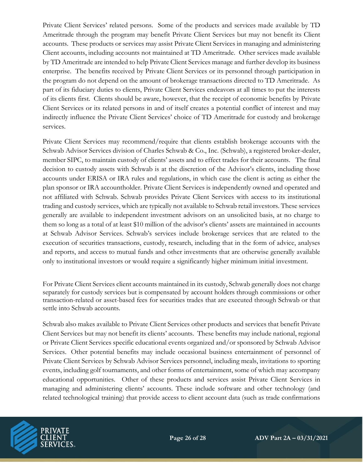Private Client Services' related persons. Some of the products and services made available by TD Ameritrade through the program may benefit Private Client Services but may not benefit its Client accounts. These products or services may assist Private Client Services in managing and administering Client accounts, including accounts not maintained at TD Ameritrade. Other services made available by TD Ameritrade are intended to help Private Client Services manage and further develop its business enterprise. The benefits received by Private Client Services or its personnel through participation in the program do not depend on the amount of brokerage transactions directed to TD Ameritrade. As part of its fiduciary duties to clients, Private Client Services endeavors at all times to put the interests of its clients first. Clients should be aware, however, that the receipt of economic benefits by Private Client Services or its related persons in and of itself creates a potential conflict of interest and may indirectly influence the Private Client Services' choice of TD Ameritrade for custody and brokerage services.

Private Client Services may recommend/require that clients establish brokerage accounts with the Schwab Advisor Services division of Charles Schwab & Co., Inc. (Schwab), a registered broker-dealer, member SIPC, to maintain custody of clients' assets and to effect trades for their accounts. The final decision to custody assets with Schwab is at the discretion of the Advisor's clients, including those accounts under ERISA or IRA rules and regulations, in which case the client is acting as either the plan sponsor or IRA accountholder. Private Client Services is independently owned and operated and not affiliated with Schwab. Schwab provides Private Client Services with access to its institutional trading and custody services, which are typically not available to Schwab retail investors. These services generally are available to independent investment advisors on an unsolicited basis, at no charge to them so long as a total of at least \$10 million of the advisor's clients' assets are maintained in accounts at Schwab Advisor Services. Schwab's services include brokerage services that are related to the execution of securities transactions, custody, research, including that in the form of advice, analyses and reports, and access to mutual funds and other investments that are otherwise generally available only to institutional investors or would require a significantly higher minimum initial investment.

For Private Client Services client accounts maintained in its custody, Schwab generally does not charge separately for custody services but is compensated by account holders through commissions or other transaction-related or asset-based fees for securities trades that are executed through Schwab or that settle into Schwab accounts.

Schwab also makes available to Private Client Services other products and services that benefit Private Client Services but may not benefit its clients' accounts. These benefits may include national, regional or Private Client Services specific educational events organized and/or sponsored by Schwab Advisor Services. Other potential benefits may include occasional business entertainment of personnel of Private Client Services by Schwab Advisor Services personnel, including meals, invitations to sporting events, including golf tournaments, and other forms of entertainment, some of which may accompany educational opportunities. Other of these products and services assist Private Client Services in managing and administering clients' accounts. These include software and other technology (and related technological training) that provide access to client account data (such as trade confirmations

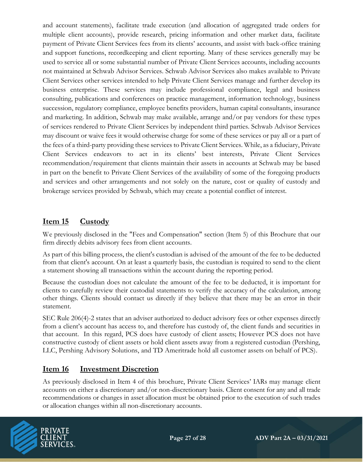and account statements), facilitate trade execution (and allocation of aggregated trade orders for multiple client accounts), provide research, pricing information and other market data, facilitate payment of Private Client Services fees from its clients' accounts, and assist with back-office training and support functions, recordkeeping and client reporting. Many of these services generally may be used to service all or some substantial number of Private Client Services accounts, including accounts not maintained at Schwab Advisor Services. Schwab Advisor Services also makes available to Private Client Services other services intended to help Private Client Services manage and further develop its business enterprise. These services may include professional compliance, legal and business consulting, publications and conferences on practice management, information technology, business succession, regulatory compliance, employee benefits providers, human capital consultants, insurance and marketing. In addition, Schwab may make available, arrange and/or pay vendors for these types of services rendered to Private Client Services by independent third parties. Schwab Advisor Services may discount or waive fees it would otherwise charge for some of these services or pay all or a part of the fees of a third-party providing these services to Private Client Services. While, as a fiduciary, Private Client Services endeavors to act in its clients' best interests, Private Client Services recommendation/requirement that clients maintain their assets in accounts at Schwab may be based in part on the benefit to Private Client Services of the availability of some of the foregoing products and services and other arrangements and not solely on the nature, cost or quality of custody and brokerage services provided by Schwab, which may create a potential conflict of interest.

# **Item 15 Custody**

We previously disclosed in the "Fees and Compensation" section (Item 5) of this Brochure that our firm directly debits advisory fees from client accounts.

As part of this billing process, the client's custodian is advised of the amount of the fee to be deducted from that client's account. On at least a quarterly basis, the custodian is required to send to the client a statement showing all transactions within the account during the reporting period.

Because the custodian does not calculate the amount of the fee to be deducted, it is important for clients to carefully review their custodial statements to verify the accuracy of the calculation, among other things. Clients should contact us directly if they believe that there may be an error in their statement.

SEC Rule 206(4)-2 states that an adviser authorized to deduct advisory fees or other expenses directly from a client's account has access to, and therefore has custody of, the client funds and securities in that account. In this regard, PCS does have custody of client assets; However PCS does not have constructive custody of client assets or hold client assets away from a registered custodian (Pershing, LLC, Pershing Advisory Solutions, and TD Ameritrade hold all customer assets on behalf of PCS).

# **Item 16 Investment Discretion**

As previously disclosed in Item 4 of this brochure, Private Client Services' IARs may manage client accounts on either a discretionary and/or non-discretionary basis. Client consent for any and all trade recommendations or changes in asset allocation must be obtained prior to the execution of such trades or allocation changes within all non-discretionary accounts.